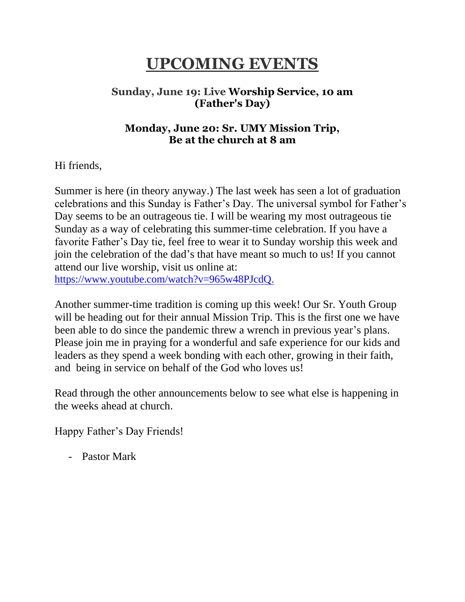### **UPCOMING EVENTS**

#### **Sunday, June 19: Live Worship Service, 10 am (Father's Day)**

#### **Monday, June 20: Sr. UMY Mission Trip, Be at the church at 8 am**

Hi friends,

Summer is here (in theory anyway.) The last week has seen a lot of graduation celebrations and this Sunday is Father's Day. The universal symbol for Father's Day seems to be an outrageous tie. I will be wearing my most outrageous tie Sunday as a way of celebrating this summer-time celebration. If you have a favorite Father's Day tie, feel free to wear it to Sunday worship this week and join the celebration of the dad's that have meant so much to us! If you cannot attend our live worship, visit us online at: [https://www.youtube.com/watch?v=965w48PJcdQ.](https://www.youtube.com/watch?v=965w48PJcdQ)

Another summer-time tradition is coming up this week! Our Sr. Youth Group will be heading out for their annual Mission Trip. This is the first one we have been able to do since the pandemic threw a wrench in previous year's plans. Please join me in praying for a wonderful and safe experience for our kids and leaders as they spend a week bonding with each other, growing in their faith, and being in service on behalf of the God who loves us!

Read through the other announcements below to see what else is happening in the weeks ahead at church.

Happy Father's Day Friends!

- Pastor Mark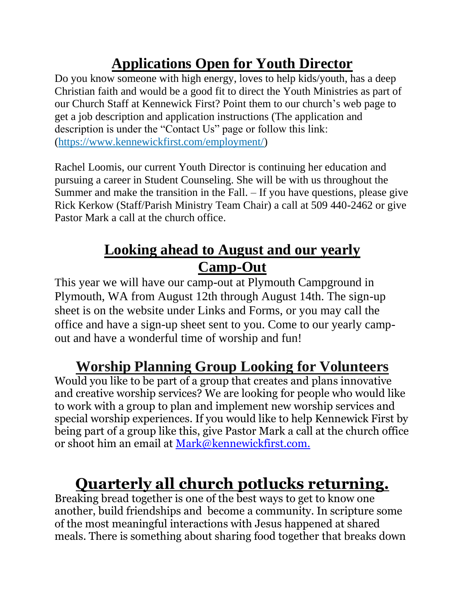## **Applications Open for Youth Director**

Do you know someone with high energy, loves to help kids/youth, has a deep Christian faith and would be a good fit to direct the Youth Ministries as part of our Church Staff at Kennewick First? Point them to our church's web page to get a job description and application instructions (The application and description is under the "Contact Us" page or follow this link: [\(https://www.kennewickfirst.com/employment/\)](https://www.kennewickfirst.com/employment/)

Rachel Loomis, our current Youth Director is continuing her education and pursuing a career in Student Counseling. She will be with us throughout the Summer and make the transition in the Fall. – If you have questions, please give Rick Kerkow (Staff/Parish Ministry Team Chair) a call at 509 440-2462 or give Pastor Mark a call at the church office.

### **Looking ahead to August and our yearly Camp-Out**

This year we will have our camp-out at Plymouth Campground in Plymouth, WA from August 12th through August 14th. The sign-up sheet is on the website under Links and Forms, or you may call the office and have a sign-up sheet sent to you. Come to our yearly campout and have a wonderful time of worship and fun!

# **Worship Planning Group Looking for Volunteers**

Would you like to be part of a group that creates and plans innovative and creative worship services? We are looking for people who would like to work with a group to plan and implement new worship services and special worship experiences. If you would like to help Kennewick First by being part of a group like this, give Pastor Mark a call at the church office or shoot him an email at [Mark@kennewickfirst.com.](mailto:Mark@kennewickfirst.com)

# **Quarterly all church potlucks returning.**

Breaking bread together is one of the best ways to get to know one another, build friendships and become a community. In scripture some of the most meaningful interactions with Jesus happened at shared meals. There is something about sharing food together that breaks down